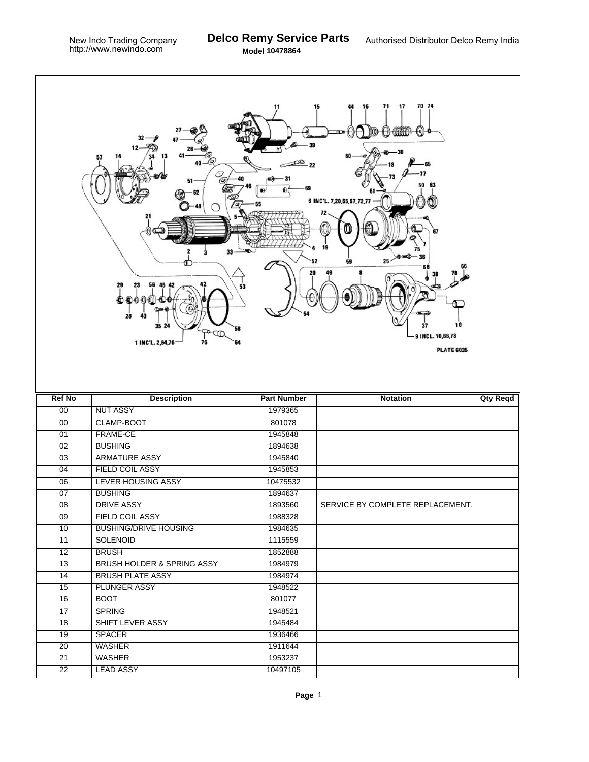$\Gamma$ 

|                 | 13<br>57<br>33<br>29<br>28<br>43<br>35 24<br>58<br>∞ঞ<br>1 INC'L. 2,84,76<br>76<br>64 | 11                 | 70 74<br>71<br>15<br>17<br>16<br>∯€)<br>111110<br>₩<br>50<br>63<br>6 INC'L. 7,20,65,67,72,77<br>$25 - 8 - 8$<br>59<br>10<br>9 INCL. 10,66,78<br><b>PLATE 6035</b> |                 |
|-----------------|---------------------------------------------------------------------------------------|--------------------|-------------------------------------------------------------------------------------------------------------------------------------------------------------------|-----------------|
| <b>Ref No</b>   | <b>Description</b>                                                                    | <b>Part Number</b> | <b>Notation</b>                                                                                                                                                   | <b>Qty Reqd</b> |
| 00              | <b>NUT ASSY</b>                                                                       | 1979365            |                                                                                                                                                                   |                 |
| 00              | CLAMP-BOOT                                                                            | 801078             |                                                                                                                                                                   |                 |
| $\overline{01}$ | <b>FRAME-CE</b>                                                                       | 1945848            |                                                                                                                                                                   |                 |
| $\overline{02}$ | <b>BUSHING</b>                                                                        | 1894638            |                                                                                                                                                                   |                 |
| 03              | <b>ARMATURE ASSY</b>                                                                  | 1945840            |                                                                                                                                                                   |                 |
| 04              | <b>FIELD COIL ASSY</b>                                                                | 1945853            |                                                                                                                                                                   |                 |
| 06              | <b>LEVER HOUSING ASSY</b>                                                             | 10475532           |                                                                                                                                                                   |                 |
| 07              | <b>BUSHING</b>                                                                        | 1894637            |                                                                                                                                                                   |                 |
| $\overline{08}$ | <b>DRIVE ASSY</b>                                                                     | 1893560            | SERVICE BY COMPLETE REPLACEMENT.                                                                                                                                  |                 |
| 09              | <b>FIELD COIL ASSY</b>                                                                | 1988328            |                                                                                                                                                                   |                 |
| 10              | <b>BUSHING/DRIVE HOUSING</b>                                                          | 1984635            |                                                                                                                                                                   |                 |
| $\overline{11}$ | <b>SOLENOID</b>                                                                       | 1115559            |                                                                                                                                                                   |                 |
| $\overline{12}$ | <b>BRUSH</b>                                                                          | 1852888            |                                                                                                                                                                   |                 |
| 13              | <b>BRUSH HOLDER &amp; SPRING ASSY</b>                                                 | 1984979            |                                                                                                                                                                   |                 |
| $\overline{14}$ | <b>BRUSH PLATE ASSY</b>                                                               | 1984974            |                                                                                                                                                                   |                 |
| 15              | <b>PLUNGER ASSY</b>                                                                   | 1948522            |                                                                                                                                                                   |                 |
| 16              | <b>BOOT</b>                                                                           | 801077             |                                                                                                                                                                   |                 |
| 17              | <b>SPRING</b>                                                                         | 1948521            |                                                                                                                                                                   |                 |
| 18              | SHIFT LEVER ASSY                                                                      | 1945484            |                                                                                                                                                                   |                 |
| $\overline{19}$ | <b>SPACER</b>                                                                         | 1936466            |                                                                                                                                                                   |                 |
| 20              |                                                                                       |                    |                                                                                                                                                                   |                 |
|                 | <b>WASHER</b>                                                                         | 1911644            |                                                                                                                                                                   |                 |
| 21              | WASHER                                                                                | 1953237            |                                                                                                                                                                   |                 |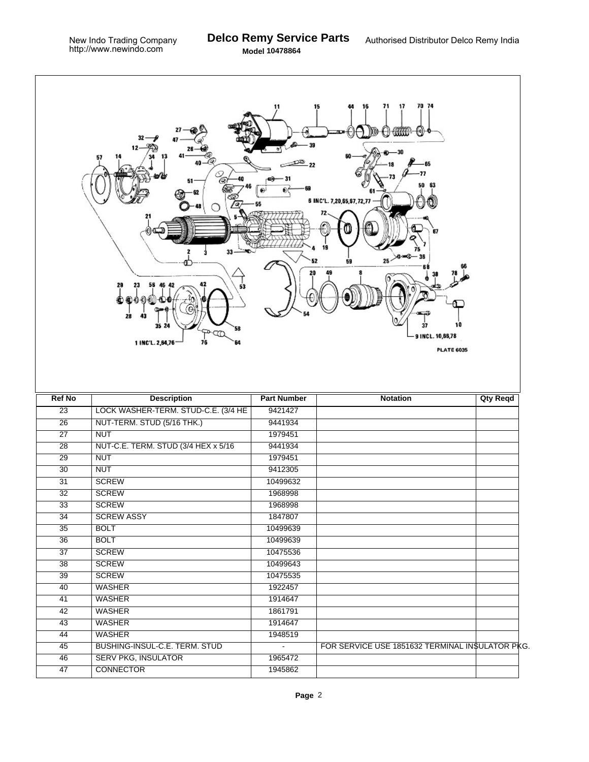|                 | Q,<br>51<br>33<br>23<br>56<br>42<br>29<br>45<br>53<br>28<br>43<br>35 24<br>58<br><b>PA</b><br>76<br>1 INC'L. 2,64,76<br>64 | 11<br>⊕<br>O)      | 70 74<br>71<br>15<br>16<br>17<br>O WWW<br>ť€<br>77<br>50<br>63<br>6 INC'L. 7,20,65,67,72,77<br>67<br>19<br>$25 \rightarrow 0$<br>52<br>59<br>37<br>10<br>9 INCL. 10,66,78<br><b>PLATE 6035</b> |                 |
|-----------------|----------------------------------------------------------------------------------------------------------------------------|--------------------|------------------------------------------------------------------------------------------------------------------------------------------------------------------------------------------------|-----------------|
| <b>Ref No</b>   | <b>Description</b>                                                                                                         | <b>Part Number</b> | <b>Notation</b>                                                                                                                                                                                | <b>Qty Reqd</b> |
| $\overline{23}$ | LOCK WASHER-TERM. STUD-C.E. (3/4 HE                                                                                        | 9421427            |                                                                                                                                                                                                |                 |
| $\overline{26}$ | NUT-TERM. STUD (5/16 THK.)                                                                                                 | 9441934            |                                                                                                                                                                                                |                 |
| $\overline{27}$ | <b>NUT</b>                                                                                                                 | 1979451            |                                                                                                                                                                                                |                 |
| $\overline{28}$ | NUT-C.E. TERM. STUD (3/4 HEX x 5/16)                                                                                       | 9441934            |                                                                                                                                                                                                |                 |
| 29              | <b>NUT</b>                                                                                                                 | 1979451            |                                                                                                                                                                                                |                 |
| $\overline{30}$ | <b>NUT</b>                                                                                                                 | 9412305            |                                                                                                                                                                                                |                 |
| $\overline{31}$ | <b>SCREW</b>                                                                                                               | 10499632           |                                                                                                                                                                                                |                 |
| 32              | <b>SCREW</b>                                                                                                               | 1968998            |                                                                                                                                                                                                |                 |
| $\overline{33}$ | <b>SCREW</b>                                                                                                               | 1968998            |                                                                                                                                                                                                |                 |
| 34              | <b>SCREW ASSY</b>                                                                                                          | 1847807            |                                                                                                                                                                                                |                 |
| 35              | <b>BOLT</b>                                                                                                                | 10499639           |                                                                                                                                                                                                |                 |
| 36              | <b>BOLT</b>                                                                                                                | 10499639           |                                                                                                                                                                                                |                 |
| $\overline{37}$ | <b>SCREW</b>                                                                                                               | 10475536           |                                                                                                                                                                                                |                 |
| 38              | <b>SCREW</b>                                                                                                               | 10499643           |                                                                                                                                                                                                |                 |
| $\overline{39}$ | <b>SCREW</b>                                                                                                               | 10475535           |                                                                                                                                                                                                |                 |
| 40              | <b>WASHER</b>                                                                                                              | 1922457            |                                                                                                                                                                                                |                 |
| 41              | <b>WASHER</b>                                                                                                              | 1914647            |                                                                                                                                                                                                |                 |
| 42              | <b>WASHER</b>                                                                                                              | 1861791            |                                                                                                                                                                                                |                 |
| 43              | <b>WASHER</b>                                                                                                              | 1914647            |                                                                                                                                                                                                |                 |
| 44              | <b>WASHER</b>                                                                                                              | 1948519            |                                                                                                                                                                                                |                 |
| 45              | BUSHING-INSUL-C.E. TERM. STUD                                                                                              | $\blacksquare$     | FOR SERVICE USE 1851632 TERMINAL INSULATOR PKG.                                                                                                                                                |                 |
|                 |                                                                                                                            |                    |                                                                                                                                                                                                |                 |
| 46<br>47        | <b>SERV PKG, INSULATOR</b><br><b>CONNECTOR</b>                                                                             | 1965472<br>1945862 |                                                                                                                                                                                                |                 |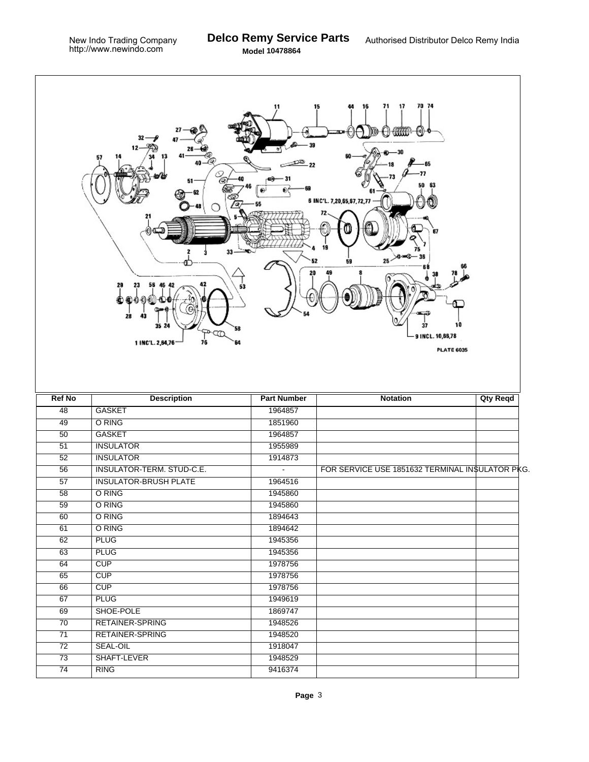Г

| 70 74<br>16<br>71<br>17<br>15<br>11<br>mm<br>₩<br>∯€])<br>199901<br>77<br>51<br>50<br>63<br>♠<br>6 INC'L. 7,20,65,67,72,77<br>67<br>33<br>25 <sup>2</sup><br>59<br>29<br>56<br>53<br>28<br>43<br>37<br>10<br>35 24<br>58<br>œ<br>9 INCL. 10,66,78<br>76<br>1 INC'L. 2,64,76<br>64<br><b>PLATE 6035</b> |                              |                    |                                                 |                 |  |  |  |  |
|--------------------------------------------------------------------------------------------------------------------------------------------------------------------------------------------------------------------------------------------------------------------------------------------------------|------------------------------|--------------------|-------------------------------------------------|-----------------|--|--|--|--|
| <b>Ref No</b>                                                                                                                                                                                                                                                                                          | <b>Description</b>           | <b>Part Number</b> | <b>Notation</b>                                 | <b>Qty Reqd</b> |  |  |  |  |
| 48                                                                                                                                                                                                                                                                                                     | <b>GASKET</b>                | 1964857            |                                                 |                 |  |  |  |  |
| 49                                                                                                                                                                                                                                                                                                     | O RING                       | 1851960            |                                                 |                 |  |  |  |  |
| 50                                                                                                                                                                                                                                                                                                     | <b>GASKET</b>                | 1964857            |                                                 |                 |  |  |  |  |
| $\overline{51}$                                                                                                                                                                                                                                                                                        | <b>INSULATOR</b>             | 1955989            |                                                 |                 |  |  |  |  |
| 52                                                                                                                                                                                                                                                                                                     | <b>INSULATOR</b>             | 1914873            |                                                 |                 |  |  |  |  |
| $\overline{56}$                                                                                                                                                                                                                                                                                        | INSULATOR-TERM. STUD-C.E.    | $\blacksquare$     | FOR SERVICE USE 1851632 TERMINAL INSULATOR PKG. |                 |  |  |  |  |
| $\overline{57}$                                                                                                                                                                                                                                                                                        | <b>INSULATOR-BRUSH PLATE</b> | 1964516            |                                                 |                 |  |  |  |  |
| 58                                                                                                                                                                                                                                                                                                     | O RING                       | 1945860            |                                                 |                 |  |  |  |  |
| 59                                                                                                                                                                                                                                                                                                     | O RING                       | 1945860            |                                                 |                 |  |  |  |  |
| 60                                                                                                                                                                                                                                                                                                     | O RING                       | 1894643            |                                                 |                 |  |  |  |  |
| 61                                                                                                                                                                                                                                                                                                     | O RING                       | 1894642            |                                                 |                 |  |  |  |  |
| 62                                                                                                                                                                                                                                                                                                     | <b>PLUG</b>                  | 1945356            |                                                 |                 |  |  |  |  |
| 63                                                                                                                                                                                                                                                                                                     | <b>PLUG</b>                  | 1945356            |                                                 |                 |  |  |  |  |
| 64                                                                                                                                                                                                                                                                                                     | CUP                          | 1978756            |                                                 |                 |  |  |  |  |
| 65                                                                                                                                                                                                                                                                                                     | CUP                          | 1978756            |                                                 |                 |  |  |  |  |
| 66                                                                                                                                                                                                                                                                                                     | CUP                          | 1978756            |                                                 |                 |  |  |  |  |
| 67                                                                                                                                                                                                                                                                                                     | <b>PLUG</b>                  | 1949619            |                                                 |                 |  |  |  |  |
| 69                                                                                                                                                                                                                                                                                                     | SHOE-POLE                    | 1869747            |                                                 |                 |  |  |  |  |
| 70                                                                                                                                                                                                                                                                                                     | <b>RETAINER-SPRING</b>       | 1948526            |                                                 |                 |  |  |  |  |
| $\overline{71}$                                                                                                                                                                                                                                                                                        | <b>RETAINER-SPRING</b>       | 1948520            |                                                 |                 |  |  |  |  |
| $\overline{72}$                                                                                                                                                                                                                                                                                        | <b>SEAL-OIL</b>              | 1918047            |                                                 |                 |  |  |  |  |
| 73                                                                                                                                                                                                                                                                                                     | SHAFT-LEVER                  | 1948529            |                                                 |                 |  |  |  |  |
| $\overline{74}$                                                                                                                                                                                                                                                                                        | <b>RING</b>                  | 9416374            |                                                 |                 |  |  |  |  |